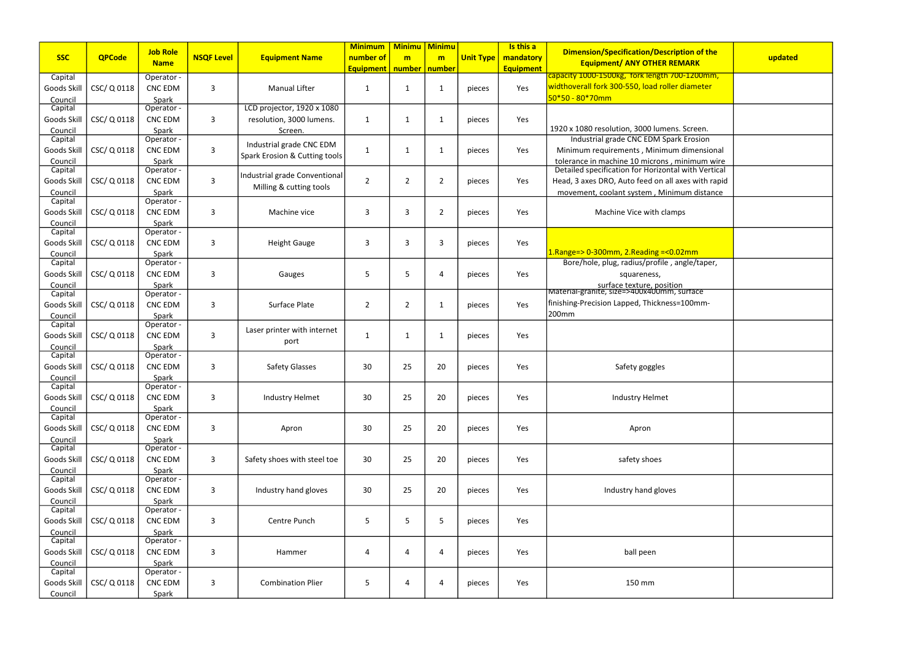|                    |               | <b>Job Role</b>     |                   |                               | <b>Minimum</b>   | <b>Minimu</b>   | <b>Minimu</b>  |                  | Is this a        | Dimension/Specification/Description of the                                                     |         |
|--------------------|---------------|---------------------|-------------------|-------------------------------|------------------|-----------------|----------------|------------------|------------------|------------------------------------------------------------------------------------------------|---------|
| <b>SSC</b>         | <b>QPCode</b> | <b>Name</b>         | <b>NSQF Level</b> | <b>Equipment Name</b>         | number of        | m               | m              | <b>Unit Type</b> | mandatory        | <b>Equipment/ ANY OTHER REMARK</b>                                                             | updated |
| Capital            |               | Operator -          |                   |                               | <b>Equipment</b> | number   number |                |                  | <b>Equipment</b> | capacity 1000-1500kg, fork length 700-1200mm,                                                  |         |
| Goods Skill        | CSC/ Q 0118   | <b>CNC EDM</b>      | 3                 | <b>Manual Lifter</b>          | 1                | $\mathbf{1}$    | 1              | pieces           | Yes              | widthoverall fork 300-550, load roller diameter                                                |         |
| Council            |               | Spark               |                   |                               |                  |                 |                |                  |                  | $50*50 - 80*70$ mm                                                                             |         |
| Capital            |               | Operator -          |                   | LCD projector, 1920 x 1080    |                  |                 |                |                  |                  |                                                                                                |         |
| Goods Skill        | CSC/ Q 0118   | <b>CNC EDM</b>      | 3                 | resolution, 3000 lumens.      | 1                | $\mathbf 1$     | 1              | pieces           | Yes              |                                                                                                |         |
| Council            |               | Spark               |                   | Screen.                       |                  |                 |                |                  |                  | 1920 x 1080 resolution, 3000 lumens. Screen.                                                   |         |
| Capital            |               | Operator -          |                   |                               |                  |                 |                |                  |                  | Industrial grade CNC EDM Spark Erosion                                                         |         |
| Goods Skill        | CSC/ Q 0118   | <b>CNC EDM</b>      | $\overline{3}$    | Industrial grade CNC EDM      | $\mathbf{1}$     | $\mathbf{1}$    | 1              | pieces           | Yes              | Minimum requirements, Minimum dimensional                                                      |         |
| Council            |               | Spark               |                   | Spark Erosion & Cutting tools |                  |                 |                |                  |                  | tolerance in machine 10 microns, minimum wire                                                  |         |
| Capital            |               | Operator -          |                   |                               |                  |                 |                |                  |                  | Detailed specification for Horizontal with Vertical                                            |         |
| Goods Skill        | CSC/ Q 0118   | <b>CNC EDM</b>      | 3                 | Industrial grade Conventional | $\overline{2}$   | $\overline{2}$  | $\overline{2}$ | pieces           | Yes              | Head, 3 axes DRO, Auto feed on all axes with rapid                                             |         |
| Council            |               | Spark               |                   | Milling & cutting tools       |                  |                 |                |                  |                  | movement, coolant system, Minimum distance                                                     |         |
| Capital            |               | Operator -          |                   |                               |                  |                 |                |                  |                  |                                                                                                |         |
| Goods Skill        | CSC/ Q 0118   | <b>CNC EDM</b>      | 3                 | Machine vice                  | 3                | 3               | 2              | pieces           | Yes              | Machine Vice with clamps                                                                       |         |
| Council            |               | Spark               |                   |                               |                  |                 |                |                  |                  |                                                                                                |         |
| Capital            |               | Operator -          |                   |                               |                  |                 |                |                  |                  |                                                                                                |         |
| Goods Skill        | CSC/ Q 0118   | <b>CNC EDM</b>      | 3                 | <b>Height Gauge</b>           | 3                | 3               | 3              | pieces           | Yes              |                                                                                                |         |
| Council            |               | Spark               |                   |                               |                  |                 |                |                  |                  | $1.$ Range=> 0-300mm, 2.Reading =< 0.02mm                                                      |         |
| Capital            |               | Operator -          |                   |                               |                  |                 |                |                  |                  | Bore/hole, plug, radius/profile, angle/taper,                                                  |         |
| Goods Skill        | CSC/ Q 0118   | <b>CNC EDM</b>      | 3                 | Gauges                        | 5                | 5               | 4              | pieces           | Yes              | squareness,                                                                                    |         |
| Council            |               | Spark               |                   |                               |                  |                 |                |                  |                  | <br> Material-granite, size=>400x400mm, surface<br> Material-granite, size=>400x400mm, surface |         |
| Capital            |               | Operator -          |                   |                               |                  |                 |                |                  |                  | finishing-Precision Lapped, Thickness=100mm-                                                   |         |
| Goods Skill        | CSC/ Q 0118   | <b>CNC EDM</b>      | 3                 | Surface Plate                 | $\overline{2}$   | $\overline{2}$  | 1              | pieces           | Yes              | 200mm                                                                                          |         |
| Council<br>Capital |               | Spark<br>Operator - |                   |                               |                  |                 |                |                  |                  |                                                                                                |         |
| Goods Skill        | CSC/ Q 0118   | <b>CNC EDM</b>      | 3                 | Laser printer with internet   |                  | -1              | 1              |                  | Yes              |                                                                                                |         |
|                    |               |                     |                   | port                          | $\mathbf 1$      |                 |                | pieces           |                  |                                                                                                |         |
| Council<br>Capital |               | Spark<br>Operator - |                   |                               |                  |                 |                |                  |                  |                                                                                                |         |
| Goods Skill        | CSC/ Q 0118   | <b>CNC EDM</b>      | 3                 | <b>Safety Glasses</b>         | 30               | 25              | 20             | pieces           | Yes              | Safety goggles                                                                                 |         |
| Council            |               | Spark               |                   |                               |                  |                 |                |                  |                  |                                                                                                |         |
| Capital            |               | Operator -          |                   |                               |                  |                 |                |                  |                  |                                                                                                |         |
| Goods Skill        | CSC/ Q 0118   | <b>CNC EDM</b>      | 3                 | Industry Helmet               | 30               | 25              | 20             | pieces           | Yes              | Industry Helmet                                                                                |         |
| Council            |               | Spark               |                   |                               |                  |                 |                |                  |                  |                                                                                                |         |
| Capital            |               | Operator -          |                   |                               |                  |                 |                |                  |                  |                                                                                                |         |
| Goods Skill        | CSC/Q0118     | <b>CNC EDM</b>      | 3                 | Apron                         | 30               | 25              | 20             | pieces           | Yes              | Apron                                                                                          |         |
| Council            |               | Spark               |                   |                               |                  |                 |                |                  |                  |                                                                                                |         |
| Capital            |               | Operator -          |                   |                               |                  |                 |                |                  |                  |                                                                                                |         |
| Goods Skill        | CSC/ Q 0118   | <b>CNC EDM</b>      | 3                 | Safety shoes with steel toe   | 30               | 25              | 20             | pieces           | Yes              | safety shoes                                                                                   |         |
| Council            |               | Spark               |                   |                               |                  |                 |                |                  |                  |                                                                                                |         |
| Capital            |               | Operator -          |                   |                               |                  |                 |                |                  |                  |                                                                                                |         |
| Goods Skill        | CSC/ Q 0118   | <b>CNC EDM</b>      | 3                 | Industry hand gloves          | 30               | 25              | 20             | pieces           | Yes              | Industry hand gloves                                                                           |         |
| Council            |               | Spark               |                   |                               |                  |                 |                |                  |                  |                                                                                                |         |
| Capital            |               | Operator -          |                   |                               |                  |                 |                |                  |                  |                                                                                                |         |
| Goods Skill        | CSC/ Q 0118   | <b>CNC EDM</b>      | 3                 | Centre Punch                  | 5                | 5               | 5              | pieces           | Yes              |                                                                                                |         |
| Council            |               | Spark               |                   |                               |                  |                 |                |                  |                  |                                                                                                |         |
| Capital            |               | Operator -          |                   |                               |                  |                 |                |                  |                  |                                                                                                |         |
| Goods Skill        | CSC/ Q 0118   | <b>CNC EDM</b>      | 3                 | Hammer                        | 4                | 4               | 4              | pieces           | Yes              | ball peen                                                                                      |         |
| Council<br>Capital |               | Spark<br>Operator - |                   |                               |                  |                 |                |                  |                  |                                                                                                |         |
| Goods Skill        | CSC/ Q 0118   | <b>CNC EDM</b>      | 3                 | <b>Combination Plier</b>      | 5                | 4               | 4              | pieces           | Yes              | 150 mm                                                                                         |         |
| Council            |               | Spark               |                   |                               |                  |                 |                |                  |                  |                                                                                                |         |
|                    |               |                     |                   |                               |                  |                 |                |                  |                  |                                                                                                |         |

| of the<br>K                                | updated |  |  |  |  |  |  |
|--------------------------------------------|---------|--|--|--|--|--|--|
| <mark>J0mm,</mark><br><u>ieter</u>         |         |  |  |  |  |  |  |
| en.                                        |         |  |  |  |  |  |  |
| sion<br>ensional                           |         |  |  |  |  |  |  |
| <u>um wire</u><br>I Vertical<br>vith rapid |         |  |  |  |  |  |  |
| distance                                   |         |  |  |  |  |  |  |
|                                            |         |  |  |  |  |  |  |
| ١                                          |         |  |  |  |  |  |  |
| taper,                                     |         |  |  |  |  |  |  |
| $\overline{\mathsf{ce}}$<br>nm-            |         |  |  |  |  |  |  |
|                                            |         |  |  |  |  |  |  |
|                                            |         |  |  |  |  |  |  |
|                                            |         |  |  |  |  |  |  |
|                                            |         |  |  |  |  |  |  |
|                                            |         |  |  |  |  |  |  |
|                                            |         |  |  |  |  |  |  |
|                                            |         |  |  |  |  |  |  |
|                                            |         |  |  |  |  |  |  |
|                                            |         |  |  |  |  |  |  |